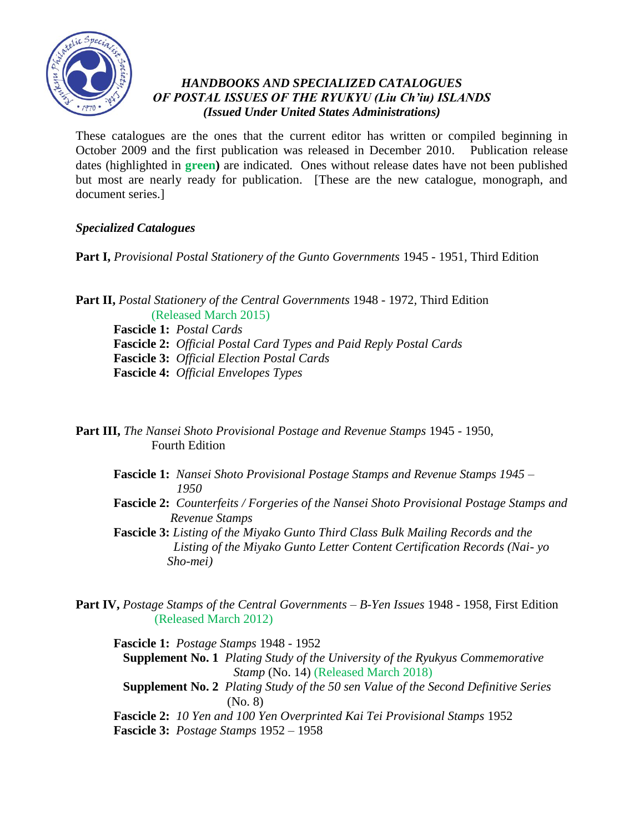

## *HANDBOOKS AND SPECIALIZED CATALOGUES OF POSTAL ISSUES OF THE RYUKYU (Liu Ch'iu) ISLANDS (Issued Under United States Administrations)*

These catalogues are the ones that the current editor has written or compiled beginning in October 2009 and the first publication was released in December 2010. Publication release dates (highlighted in **green)** are indicated. Ones without release dates have not been published but most are nearly ready for publication. [These are the new catalogue, monograph, and document series.]

# *Specialized Catalogues*

**Part I,** *Provisional Postal Stationery of the Gunto Governments* 1945 - 1951*,* Third Edition

**Part II,** *Postal Stationery of the Central Governments* 1948 - 1972*,* Third Edition (Released March 2015)

**Fascicle 1:** *Postal Cards* **Fascicle 2:** *Official Postal Card Types and Paid Reply Postal Cards* **Fascicle 3:** *Official Election Postal Cards* **Fascicle 4:** *Official Envelopes Types*

**Part III,** *The Nansei Shoto Provisional Postage and Revenue Stamps* 1945 - 1950, Fourth Edition

- **Fascicle 1:** *Nansei Shoto Provisional Postage Stamps and Revenue Stamps 1945 – 1950*
- **Fascicle 2:** *Counterfeits / Forgeries of the Nansei Shoto Provisional Postage Stamps and Revenue Stamps*

**Fascicle 3:** *Listing of the Miyako Gunto Third Class Bulk Mailing Records and the Listing of the Miyako Gunto Letter Content Certification Records (Nai- yo Sho-mei)*

**Part IV,** *Postage Stamps of the Central Governments – B-Yen Issues* 1948 - 1958, First Edition (Released March 2012)

**Fascicle 1:** *Postage Stamps* 1948 - 1952 **Supplement No. 1** *Plating Study of the University of the Ryukyus Commemorative Stamp* (No. 14) (Released March 2018) **Supplement No. 2** *Plating Study of the 50 sen Value of the Second Definitive Series*  (No. 8) **Fascicle 2:** *10 Yen and 100 Yen Overprinted Kai Tei Provisional Stamps* 1952 **Fascicle 3:** *Postage Stamps* 1952 – 1958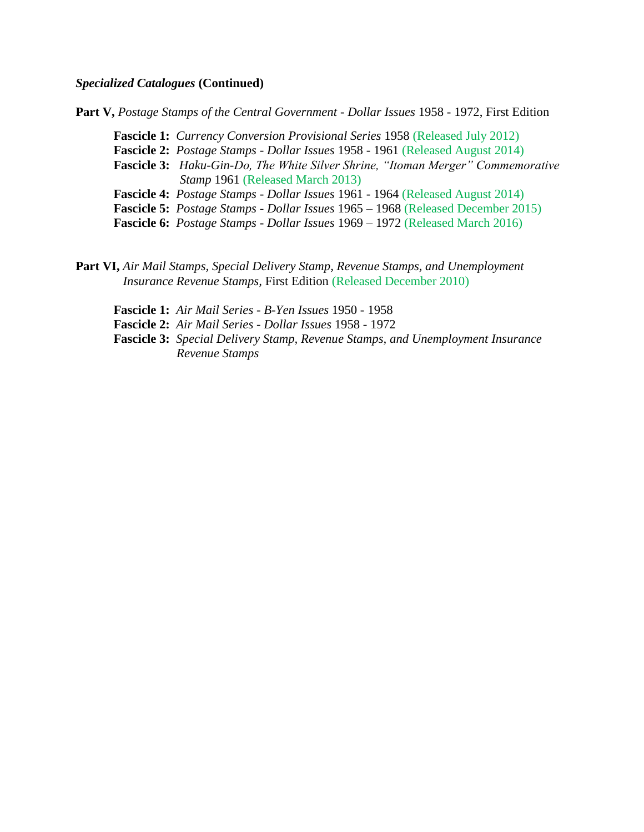## *Specialized Catalogues* **(Continued)**

**Part V,** *Postage Stamps of the Central Government - Dollar Issues* 1958 - 1972, First Edition

**Fascicle 1:** *Currency Conversion Provisional Series* 1958 (Released July 2012)

**Fascicle 2:** *Postage Stamps - Dollar Issues* 1958 - 1961 (Released August 2014)

**Fascicle 3:** *Haku-Gin-Do, The White Silver Shrine, "Itoman Merger" Commemorative Stamp* 1961 (Released March 2013)

 **Fascicle 4:** *Postage Stamps - Dollar Issues* 1961 - 1964 (Released August 2014)

**Fascicle 5:** *Postage Stamps - Dollar Issues* 1965 – 1968 (Released December 2015)

**Fascicle 6:** *Postage Stamps - Dollar Issues* 1969 – 1972 (Released March 2016)

**Part VI,** *Air Mail Stamps, Special Delivery Stamp, Revenue Stamps, and Unemployment Insurance Revenue Stamps,* First Edition (Released December 2010)

**Fascicle 1:** *Air Mail Series - B-Yen Issues* 1950 - 1958

**Fascicle 2:** *Air Mail Series - Dollar Issues* 1958 - 1972

**Fascicle 3:** *Special Delivery Stamp, Revenue Stamps, and Unemployment Insurance Revenue Stamps*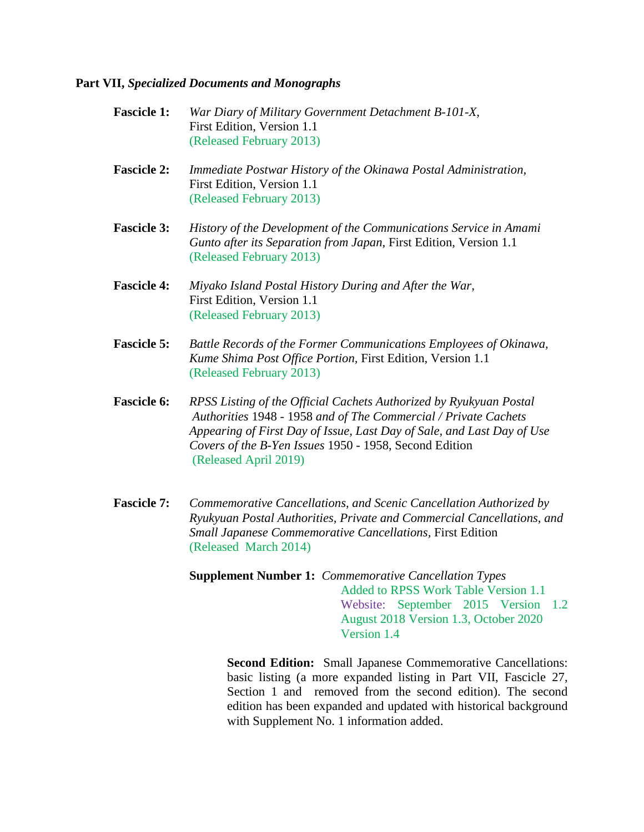## **Part VII,** *Specialized Documents and Monographs*

- **Fascicle 1:** *War Diary of Military Government Detachment B-101-X,* First Edition, Version 1.1 (Released February 2013)
- **Fascicle 2:** *Immediate Postwar History of the Okinawa Postal Administration,*  **First Edition, Version 1.1** (Released February 2013)
- **Fascicle 3:** *History of the Development of the Communications Service in Amami Gunto after its Separation from Japan,* First Edition, Version 1.1 (Released February 2013)
- **Fascicle 4:** *Miyako Island Postal History During and After the War,*  First Edition, Version 1.1 (Released February 2013)
- **Fascicle 5:** *Battle Records of the Former Communications Employees of Okinawa, Kume Shima Post Office Portion,* First Edition, Version 1.1 (Released February 2013)
- **Fascicle 6:** *RPSS Listing of the Official Cachets Authorized by Ryukyuan Postal Authorities* 1948 - 1958 *and of The Commercial / Private Cachets Appearing of First Day of Issue, Last Day of Sale, and Last Day of Use Covers of the B-Yen Issues* 1950 - 1958, Second Edition (Released April 2019)
- **Fascicle 7:** *Commemorative Cancellations, and Scenic Cancellation Authorized by Ryukyuan Postal Authorities, Private and Commercial Cancellations, and Small Japanese Commemorative Cancellations,* First Edition (Released March 2014)
	- **Supplement Number 1:** *Commemorative Cancellation Types* Added to RPSS Work Table Version 1.1 Website: September 2015 Version 1.2 August 2018 Version 1.3, October 2020 Version 1.4

**Second Edition:** Small Japanese Commemorative Cancellations: basic listing (a more expanded listing in Part VII, Fascicle 27, Section 1 and removed from the second edition). The second edition has been expanded and updated with historical background with Supplement No. 1 information added.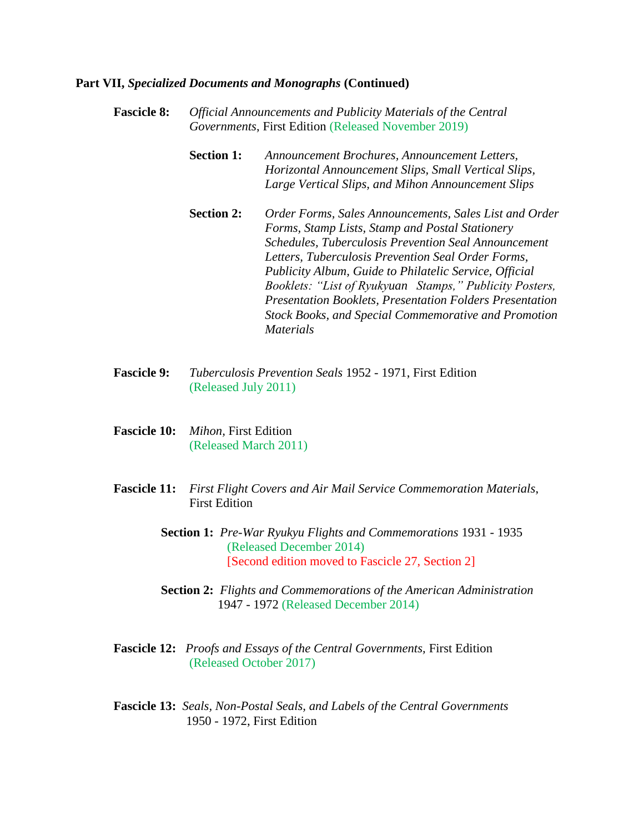- **Fascicle 8:** *Official Announcements and Publicity Materials of the Central Governments*, First Edition (Released November 2019)
	- **Section 1:** *Announcement Brochures, Announcement Letters, Horizontal Announcement Slips, Small Vertical Slips, Large Vertical Slips, and Mihon Announcement Slips*
	- **Section 2:** *Order Forms, Sales Announcements, Sales List and Order Forms, Stamp Lists, Stamp and Postal Stationery Schedules, Tuberculosis Prevention Seal Announcement Letters, Tuberculosis Prevention Seal Order Forms, Publicity Album, Guide to Philatelic Service, Official Booklets: "List of Ryukyuan Stamps," Publicity Posters, Presentation Booklets, Presentation Folders Presentation Stock Books, and Special Commemorative and Promotion Materials*
- **Fascicle 9:** *Tuberculosis Prevention Seals* 1952 1971, First Edition (Released July 2011)
- **Fascicle 10:** *Mihon,* First Edition (Released March 2011)
- **Fascicle 11:** *First Flight Covers and Air Mail Service Commemoration Materials*, First Edition
	- **Section 1:** *Pre-War Ryukyu Flights and Commemorations* 1931 1935 (Released December 2014) [Second edition moved to Fascicle 27, Section 2]
	- **Section 2:** *Flights and Commemorations of the American Administration* 1947 - 1972 (Released December 2014)
- **Fascicle 12:** *Proofs and Essays of the Central Governments,* First Edition (Released October 2017)
- **Fascicle 13:** *Seals, Non-Postal Seals, and Labels of the Central Governments* 1950 - 1972, First Edition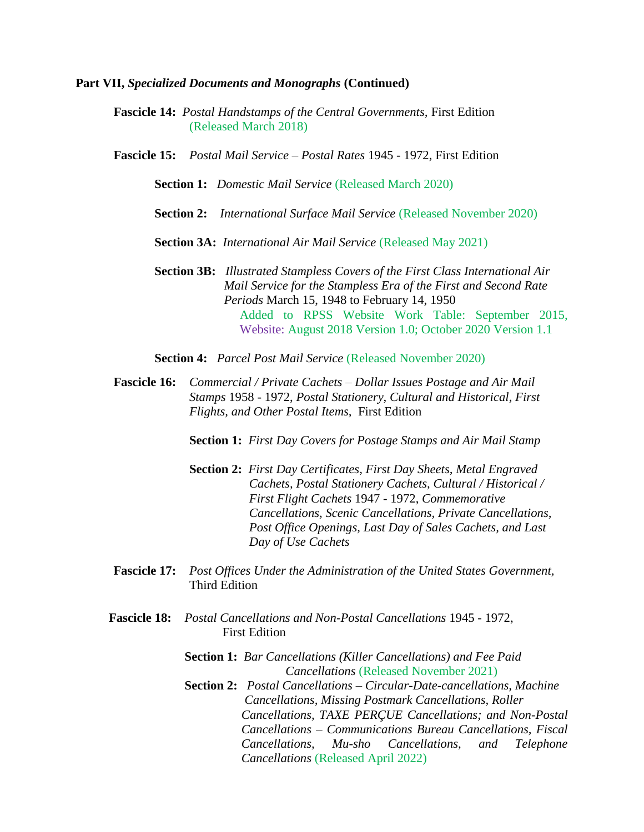- **Fascicle 14:** *Postal Handstamps of the Central Governments,* First Edition (Released March 2018)
- **Fascicle 15:** *Postal Mail Service – Postal Rates* 1945 1972, First Edition

**Section 1:** *Domestic Mail Service* (Released March 2020)

- **Section 2:** *International Surface Mail Service* (Released November 2020)
- **Section 3A:** *International Air Mail Service* (Released May 2021)
- **Section 3B:** *Illustrated Stampless Covers of the First Class International Air Mail Service for the Stampless Era of the First and Second Rate Periods* March 15, 1948 to February 14, 1950 Added to RPSS Website Work Table: September 2015, Website: August 2018 Version 1.0; October 2020 Version 1.1
- **Section 4:** *Parcel Post Mail Service* (Released November 2020)
- **Fascicle 16:** *Commercial / Private Cachets – Dollar Issues Postage and Air Mail Stamps* 1958 - 1972, *Postal Stationery, Cultural and Historical, First Flights, and Other Postal Items,* First Edition

**Section 1:** *First Day Covers for Postage Stamps and Air Mail Stamp*

- **Section 2:** *First Day Certificates, First Day Sheets, Metal Engraved Cachets, Postal Stationery Cachets, Cultural / Historical / First Flight Cachets* 1947 - 1972, *Commemorative Cancellations, Scenic Cancellations, Private Cancellations, Post Office Openings, Last Day of Sales Cachets, and Last Day of Use Cachets*
- **Fascicle 17:** *Post Offices Under the Administration of the United States Government,*  Third Edition
- **Fascicle 18:** *Postal Cancellations and Non-Postal Cancellations* 1945 1972, First Edition
	- **Section 1:** *Bar Cancellations (Killer Cancellations) and Fee Paid*  *Cancellations* (Released November 2021)
	- **Section 2:** *Postal Cancellations – Circular-Date-cancellations, Machine Cancellations, Missing Postmark Cancellations, Roller Cancellations, TAXE PERÇUE Cancellations; and Non-Postal Cancellations – Communications Bureau Cancellations, Fiscal Cancellations, Mu-sho Cancellations, and Telephone Cancellations* (Released April 2022)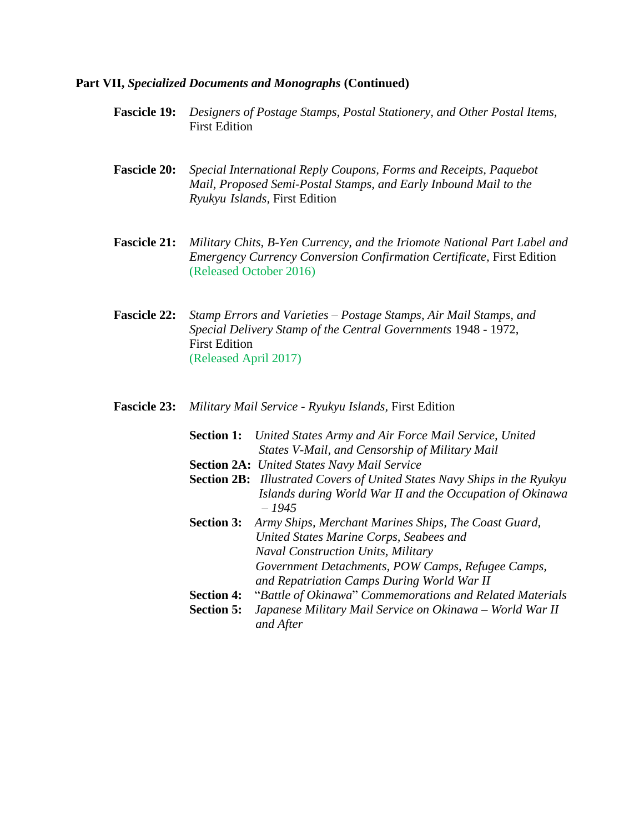- **Fascicle 19:** *Designers of Postage Stamps, Postal Stationery, and Other Postal Items,* First Edition
- **Fascicle 20:** *Special International Reply Coupons, Forms and Receipts, Paquebot Mail, Proposed Semi-Postal Stamps, and Early Inbound Mail to the Ryukyu Islands,* First Edition
- **Fascicle 21:** *Military Chits, B-Yen Currency, and the Iriomote National Part Label and Emergency Currency Conversion Confirmation Certificate,* First Edition (Released October 2016)
- **Fascicle 22:** *Stamp Errors and Varieties – Postage Stamps, Air Mail Stamps, and Special Delivery Stamp of the Central Governments* 1948 - 1972, First Edition (Released April 2017)
- **Fascicle 23:** *Military Mail Service - Ryukyu Islands,* First Edition
	- **Section 1:** *United States Army and Air Force Mail Service, United*  *States V-Mail, and Censorship of Military Mail*
	- **Section 2A:** *United States Navy Mail Service*
	- **Section 2B:** *Illustrated Covers of United States Navy Ships in the Ryukyu Islands during World War II and the Occupation of Okinawa – 1945*
	- **Section 3:** *Army Ships, Merchant Marines Ships, The Coast Guard,*  *United States Marine Corps, Seabees and Naval Construction Units, Military Government Detachments, POW Camps, Refugee Camps, and Repatriation Camps During World War II*
	- **Section 4:** "*Battle of Okinawa*" *Commemorations and Related Materials* **Section 5:** *Japanese Military Mail Service on Okinawa – World War II*  *and After*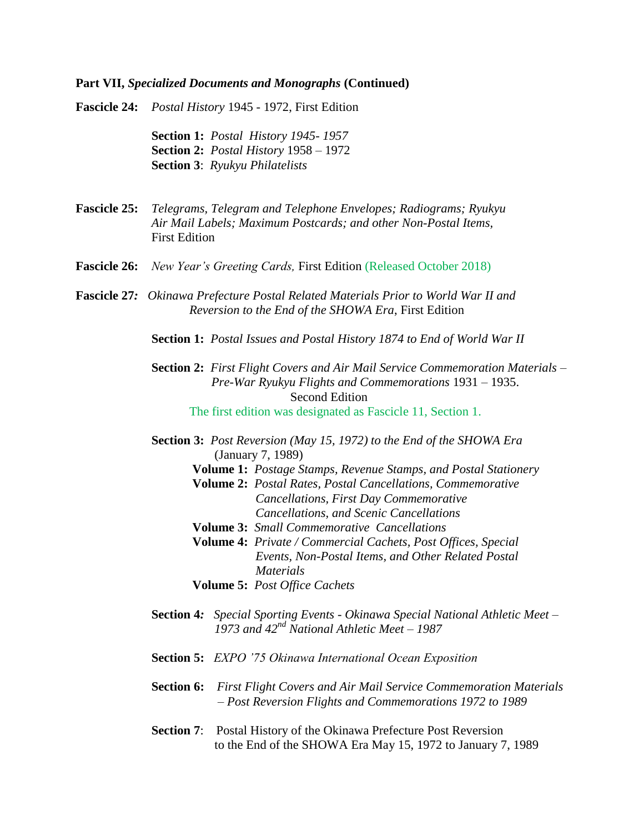**Fascicle 24:** *Postal History* 1945 - 1972, First Edition

**Section 1:** *Postal History 1945- 1957* **Section 2:** *Postal History* 1958 – 1972 **Section 3**: *Ryukyu Philatelists* 

- **Fascicle 25:** *Telegrams, Telegram and Telephone Envelopes; Radiograms; Ryukyu Air Mail Labels; Maximum Postcards; and other Non-Postal Items,* First Edition
- **Fascicle 26:** *New Year's Greeting Cards,* First Edition (Released October 2018)
- **Fascicle 27***: Okinawa Prefecture Postal Related Materials Prior to World War II and Reversion to the End of the SHOWA Era*, First Edition
	- **Section 1:** *Postal Issues and Postal History 1874 to End of World War II*
	- **Section 2:** *First Flight Covers and Air Mail Service Commemoration Materials – Pre-War Ryukyu Flights and Commemorations* 1931 – 1935. Second Edition The first edition was designated as Fascicle 11, Section 1.
	- **Section 3:** *Post Reversion (May 15, 1972) to the End of the SHOWA Era* (January 7, 1989)
		- **Volume 1:** *Postage Stamps, Revenue Stamps, and Postal Stationery*
		- **Volume 2:** *Postal Rates, Postal Cancellations, Commemorative Cancellations, First Day Commemorative Cancellations, and Scenic Cancellations*
		- **Volume 3:** *Small Commemorative Cancellations*
		- **Volume 4:** *Private / Commercial Cachets, Post Offices, Special Events, Non-Postal Items, and Other Related Postal Materials*
		- **Volume 5:** *Post Office Cachets*
	- **Section 4***: Special Sporting Events - Okinawa Special National Athletic Meet – 1973 and 42nd National Athletic Meet – 1987*
	- **Section 5:** *EXPO '75 Okinawa International Ocean Exposition*
	- **Section 6:** *First Flight Covers and Air Mail Service Commemoration Materials – Post Reversion Flights and Commemorations 1972 to 1989*
	- **Section 7**: Postal History of the Okinawa Prefecture Post Reversion to the End of the SHOWA Era May 15, 1972 to January 7, 1989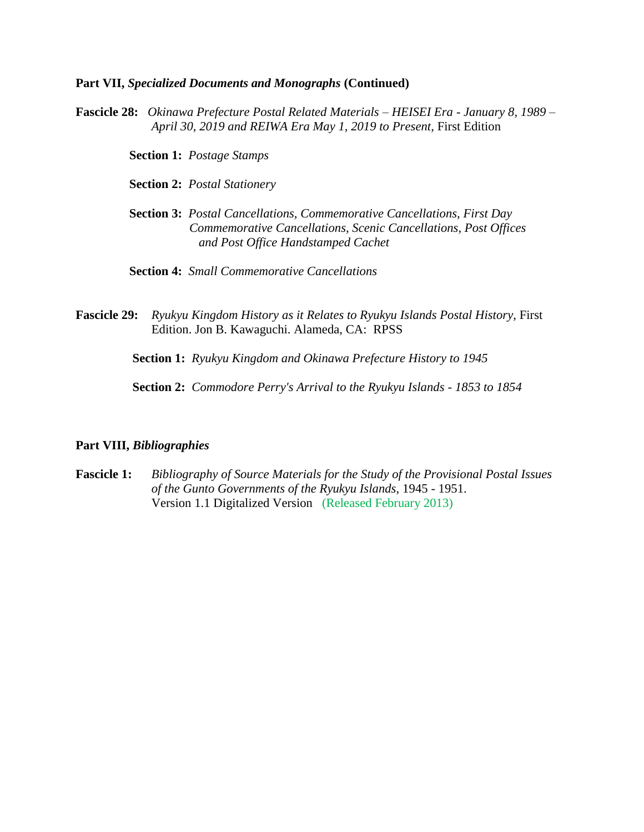**Fascicle 28:** *Okinawa Prefecture Postal Related Materials – HEISEI Era - January 8, 1989 – April 30, 2019 and REIWA Era May 1, 2019 to Present,* First Edition

 **Section 1:** *Postage Stamps*

 **Section 2:** *Postal Stationery*

 **Section 3:** *Postal Cancellations, Commemorative Cancellations, First Day Commemorative Cancellations, Scenic Cancellations, Post Offices and Post Office Handstamped Cachet*

**Section 4:** *Small Commemorative Cancellations*

**Fascicle 29:** *Ryukyu Kingdom History as it Relates to Ryukyu Islands Postal History,* First Edition. Jon B. Kawaguchi. Alameda, CA: RPSS

 **Section 1:** *Ryukyu Kingdom and Okinawa Prefecture History to 1945*

 **Section 2:** *Commodore Perry's Arrival to the Ryukyu Islands - 1853 to 1854*

## **Part VIII,** *Bibliographies*

**Fascicle 1:** *Bibliography of Source Materials for the Study of the Provisional Postal Issues of the Gunto Governments of the Ryukyu Islands,* 1945 - 1951. Version 1.1 Digitalized Version (Released February 2013)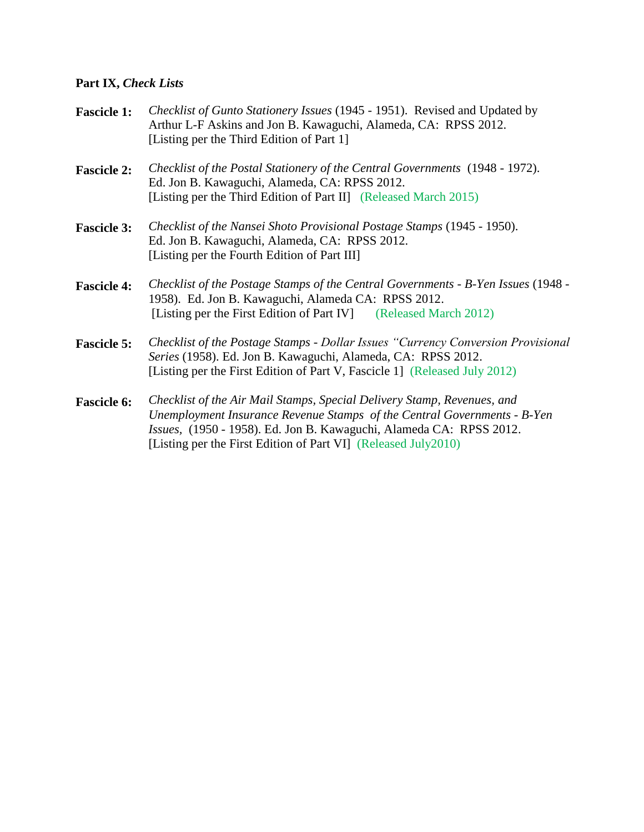# **Part IX,** *Check Lists*

| <b>Fascicle 1:</b> | Checklist of Gunto Stationery Issues (1945 - 1951). Revised and Updated by<br>Arthur L-F Askins and Jon B. Kawaguchi, Alameda, CA: RPSS 2012.<br>[Listing per the Third Edition of Part 1]                                                                                                   |
|--------------------|----------------------------------------------------------------------------------------------------------------------------------------------------------------------------------------------------------------------------------------------------------------------------------------------|
| <b>Fascicle 2:</b> | Checklist of the Postal Stationery of the Central Governments (1948 - 1972).<br>Ed. Jon B. Kawaguchi, Alameda, CA: RPSS 2012.<br>[Listing per the Third Edition of Part II] (Released March 2015)                                                                                            |
| <b>Fascicle 3:</b> | Checklist of the Nansei Shoto Provisional Postage Stamps (1945 - 1950).<br>Ed. Jon B. Kawaguchi, Alameda, CA: RPSS 2012.<br>[Listing per the Fourth Edition of Part III]                                                                                                                     |
| <b>Fascicle 4:</b> | Checklist of the Postage Stamps of the Central Governments - B-Yen Issues (1948 -<br>1958). Ed. Jon B. Kawaguchi, Alameda CA: RPSS 2012.<br>[Listing per the First Edition of Part IV] (Released March 2012)                                                                                 |
| <b>Fascicle 5:</b> | Checklist of the Postage Stamps - Dollar Issues "Currency Conversion Provisional<br>Series (1958). Ed. Jon B. Kawaguchi, Alameda, CA: RPSS 2012.<br>[Listing per the First Edition of Part V, Fascicle 1] (Released July 2012)                                                               |
| <b>Fascicle 6:</b> | Checklist of the Air Mail Stamps, Special Delivery Stamp, Revenues, and<br>Unemployment Insurance Revenue Stamps of the Central Governments - B-Yen<br>Issues, (1950 - 1958). Ed. Jon B. Kawaguchi, Alameda CA: RPSS 2012.<br>[Listing per the First Edition of Part VI] (Released July2010) |